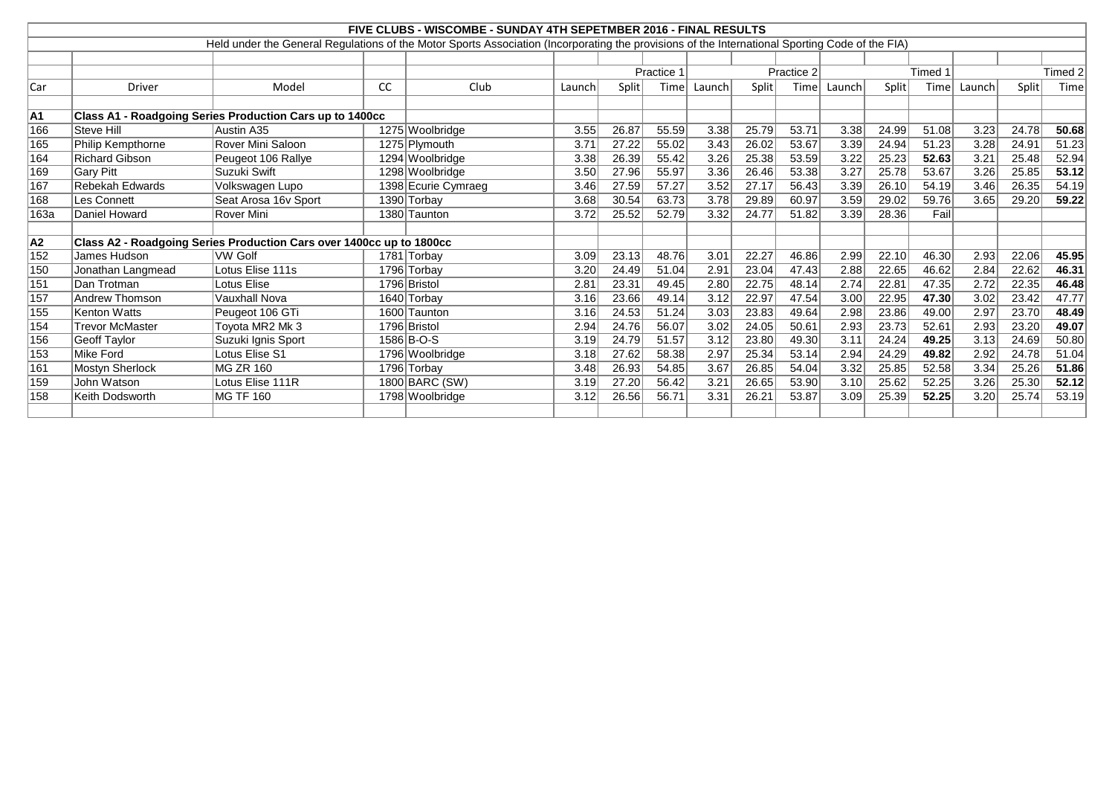|                                                                       | FIVE CLUBS - WISCOMBE - SUNDAY 4TH SEPETMBER 2016 - FINAL RESULTS |                                                                                                                                                 |    |                     |        |              |            |                   |       |       |        |              |         |        |       |         |
|-----------------------------------------------------------------------|-------------------------------------------------------------------|-------------------------------------------------------------------------------------------------------------------------------------------------|----|---------------------|--------|--------------|------------|-------------------|-------|-------|--------|--------------|---------|--------|-------|---------|
|                                                                       |                                                                   | Held under the General Regulations of the Motor Sports Association (Incorporating the provisions of the International Sporting Code of the FIA) |    |                     |        |              |            |                   |       |       |        |              |         |        |       |         |
|                                                                       |                                                                   |                                                                                                                                                 |    |                     |        |              |            |                   |       |       |        |              |         |        |       |         |
|                                                                       |                                                                   |                                                                                                                                                 |    |                     |        |              | Practice 1 | Practice 2        |       |       |        |              | Timed 1 |        |       | Timed 2 |
| Car                                                                   | <b>Driver</b>                                                     | Model                                                                                                                                           | cc | Club                | Launch | <b>Split</b> | Time       | Launch            | Split | Time  | Launch | <b>Split</b> | Time    | Launch | Split | Time    |
|                                                                       |                                                                   |                                                                                                                                                 |    |                     |        |              |            |                   |       |       |        |              |         |        |       |         |
| Class A1 - Roadgoing Series Production Cars up to 1400cc<br><b>A1</b> |                                                                   |                                                                                                                                                 |    |                     |        |              |            |                   |       |       |        |              |         |        |       |         |
| 166                                                                   | Steve Hill                                                        | Austin A35                                                                                                                                      |    | 1275 Woolbridge     | 3.55   | 26.87        | 55.59      | 3.38              | 25.79 | 53.71 | 3.38   | 24.99        | 51.08   | 3.23   | 24.78 | 50.68   |
| 165                                                                   | <b>Philip Kempthorne</b>                                          | <b>Rover Mini Saloon</b>                                                                                                                        |    | 1275 Plymouth       | 3.7'   | 27.22        | 55.02      | 3.43              | 26.02 | 53.67 | 3.39   | 24.94        | 51.23   | 3.28   | 24.91 | 51.23   |
| 164                                                                   | <b>Richard Gibson</b>                                             | Peugeot 106 Rallye                                                                                                                              |    | 1294 Woolbridge     | 3.38   | 26.39        | 55.42      | 3.26              | 25.38 | 53.59 | 3.22   | 25.23        | 52.63   | 3.21   | 25.48 | 52.94   |
| 169                                                                   | <b>Gary Pitt</b>                                                  | Suzuki Swift                                                                                                                                    |    | 1298 Woolbridge     | 3.50   | 27.96        | 55.97      | 3.36              | 26.46 | 53.38 | 3.27   | 25.78        | 53.67   | 3.26   | 25.85 | 53.12   |
| 167                                                                   | Rebekah Edwards                                                   | Volkswagen Lupo                                                                                                                                 |    | 1398 Ecurie Cymraeg | 3.46   | 27.59        | 57.27      | 3.52              | 27.17 | 56.43 | 3.39   | 26.10        | 54.19   | 3.46   | 26.35 | 54.19   |
| 168                                                                   | Les Connett                                                       | Seat Arosa 16v Sport                                                                                                                            |    | 1390 Torbay         | 3.68   | 30.54        | 63.73      | 3.78              | 29.89 | 60.97 | 3.59   | 29.02        | 59.76   | 3.65   | 29.20 | 59.22   |
| 163a                                                                  | Daniel Howard                                                     | Rover Mini                                                                                                                                      |    | 1380 Taunton        | 3.72   | 25.52        | 52.79      | 3.32              | 24.77 | 51.82 | 3.39   | 28.36        | Fail    |        |       |         |
|                                                                       |                                                                   |                                                                                                                                                 |    |                     |        |              |            |                   |       |       |        |              |         |        |       |         |
| A2                                                                    |                                                                   | Class A2 - Roadgoing Series Production Cars over 1400cc up to 1800cc                                                                            |    |                     |        |              |            |                   |       |       |        |              |         |        |       |         |
| 152                                                                   | James Hudson                                                      | VW Golf                                                                                                                                         |    | 1781 Torbay         | 3.09   | 23.13        | 48.76      | 3.01              | 22.27 | 46.86 | 2.99   | 22.10        | 46.30   | 2.93   | 22.06 | 45.95   |
| 150                                                                   | Jonathan Langmead                                                 | Lotus Elise 111s                                                                                                                                |    | 1796 Torbay         | 3.20   | 24.49        | 51.04      | 2.91              | 23.04 | 47.43 | 2.88   | 22.65        | 46.62   | 2.84   | 22.62 | 46.31   |
| 151                                                                   | Dan Trotman                                                       | Lotus Elise                                                                                                                                     |    | 1796 Bristol        | 2.81   | 23.31        | 49.45      | 2.80              | 22.75 | 48.14 | 2.74   | 22.81        | 47.35   | 2.72   | 22.35 | 46.48   |
| 157                                                                   | <b>Andrew Thomson</b>                                             | <b>Vauxhall Nova</b>                                                                                                                            |    | 1640 Torbay         | 3.16   | 23.66        | 49.14      | 3.12              | 22.97 | 47.54 | 3.00   | 22.95        | 47.30   | 3.02   | 23.42 | 47.77   |
| 155                                                                   | <b>Kenton Watts</b>                                               | Peugeot 106 GTi                                                                                                                                 |    | 1600 Taunton        | 3.16   | 24.53        | 51.24      | 3.03              | 23.83 | 49.64 | 2.98   | 23.86        | 49.00   | 2.97   | 23.70 | 48.49   |
| 154                                                                   | <b>Trevor McMaster</b>                                            | Toyota MR2 Mk 3                                                                                                                                 |    | 1796 Bristol        | 2.94   | 24.76        | 56.07      | 3.02              | 24.05 | 50.61 | 2.93   | 23.73        | 52.61   | 2.93   | 23.20 | 49.07   |
| 156                                                                   | <b>Geoff Taylor</b>                                               | Suzuki Ignis Sport                                                                                                                              |    | 1586 B-O-S          | 3.19   | 24.79        | 51.57      | $\overline{3.12}$ | 23.80 | 49.30 | 3.11   | 24.24        | 49.25   | 3.13   | 24.69 | 50.80   |
| 153                                                                   | Mike Ford                                                         | Lotus Elise S1                                                                                                                                  |    | 1796 Woolbridge     | 3.18   | 27.62        | 58.38      | 2.97              | 25.34 | 53.14 | 2.94   | 24.29        | 49.82   | 2.92   | 24.78 | 51.04   |
| 161                                                                   | <b>Mostyn Sherlock</b>                                            | <b>IMG ZR 160</b>                                                                                                                               |    | 1796 Torbay         | 3.48   | 26.93        | 54.85      | 3.67              | 26.85 | 54.04 | 3.32   | 25.85        | 52.58   | 3.34   | 25.26 | 51.86   |
| 159                                                                   | John Watson                                                       | Lotus Elise 111R                                                                                                                                |    | 1800 BARC (SW)      | 3.19   | 27.20        | 56.42      | 3.21              | 26.65 | 53.90 | 3.10   | 25.62        | 52.25   | 3.26   | 25.30 | 52.12   |
| 158                                                                   | Keith Dodsworth                                                   | MG TF 160                                                                                                                                       |    | 1798 Woolbridge     | 3.12   | 26.56        | 56.71      | 3.31              | 26.21 | 53.87 | 3.09   | 25.39        | 52.25   | 3.20   | 25.74 | 53.19   |
|                                                                       |                                                                   |                                                                                                                                                 |    |                     |        |              |            |                   |       |       |        |              |         |        |       |         |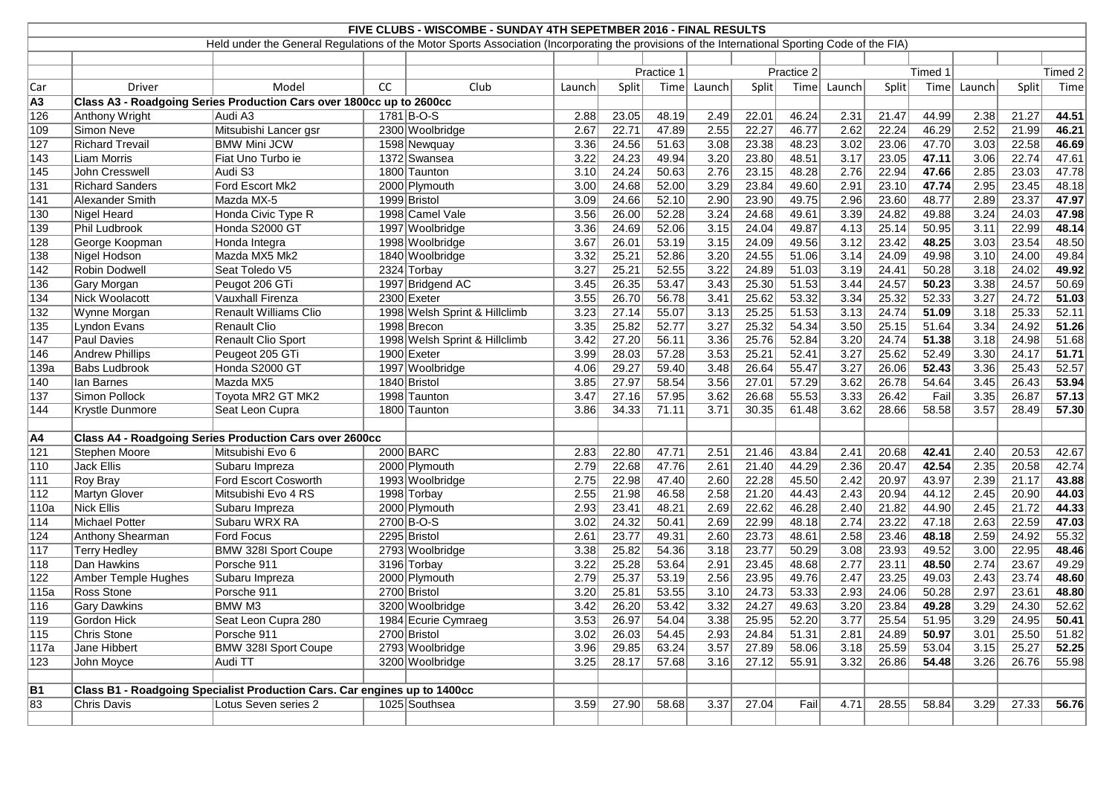|                | FIVE CLUBS - WISCOMBE - SUNDAY 4TH SEPETMBER 2016 - FINAL RESULTS<br>Held under the General Regulations of the Motor Sports Association (Incorporating the provisions of the International Sporting Code of the FIA) |                                                                           |    |                               |        |       |            |                   |       |            |        |       |         |        |              |         |
|----------------|----------------------------------------------------------------------------------------------------------------------------------------------------------------------------------------------------------------------|---------------------------------------------------------------------------|----|-------------------------------|--------|-------|------------|-------------------|-------|------------|--------|-------|---------|--------|--------------|---------|
|                |                                                                                                                                                                                                                      |                                                                           |    |                               |        |       |            |                   |       |            |        |       |         |        |              |         |
|                |                                                                                                                                                                                                                      |                                                                           |    |                               |        |       |            |                   |       |            |        |       |         |        |              |         |
|                |                                                                                                                                                                                                                      |                                                                           |    |                               |        |       | Practice 1 |                   |       | Practice 2 |        |       | Timed 1 |        |              | Timed 2 |
| Car            | Driver                                                                                                                                                                                                               | Model                                                                     | CC | Club                          | Launch | Split | Time       | Launch            | Split | Time       | Launch | Split | Time    | Launch | <b>Split</b> | Time    |
| A <sub>3</sub> |                                                                                                                                                                                                                      | Class A3 - Roadgoing Series Production Cars over 1800cc up to 2600cc      |    |                               |        |       |            |                   |       |            |        |       |         |        |              |         |
| 126            | Anthony Wright                                                                                                                                                                                                       | Audi A3                                                                   |    | 1781 B-O-S                    | 2.88   | 23.05 | 48.19      | 2.49              | 22.01 | 46.24      | 2.31   | 21.47 | 44.99   | 2.38   | 21.27        | 44.51   |
| 109            | Simon Neve                                                                                                                                                                                                           | Mitsubishi Lancer gsr                                                     |    | 2300 Woolbridge               | 2.67   | 22.71 | 47.89      | 2.55              | 22.27 | 46.77      | 2.62   | 22.24 | 46.29   | 2.52   | 21.99        | 46.21   |
| 127            | <b>Richard Trevail</b>                                                                                                                                                                                               | <b>BMW Mini JCW</b>                                                       |    | 1598 Newquay                  | 3.36   | 24.56 | 51.63      | 3.08              | 23.38 | 48.23      | 3.02   | 23.06 | 47.70   | 3.03   | 22.58        | 46.69   |
| 143            | <b>Liam Morris</b>                                                                                                                                                                                                   | Fiat Uno Turbo ie                                                         |    | 1372 Swansea                  | 3.22   | 24.23 | 49.94      | 3.20              | 23.80 | 48.51      | 3.17   | 23.05 | 47.11   | 3.06   | 22.74        | 47.61   |
| 145            | John Cresswell                                                                                                                                                                                                       | Audi S3                                                                   |    | 1800 Taunton                  | 3.10   | 24.24 | 50.63      | 2.76              | 23.15 | 48.28      | 2.76   | 22.94 | 47.66   | 2.85   | 23.03        | 47.78   |
| 131            | <b>Richard Sanders</b>                                                                                                                                                                                               | Ford Escort Mk2                                                           |    | 2000 Plymouth                 | 3.00   | 24.68 | 52.00      | 3.29              | 23.84 | 49.60      | 2.91   | 23.10 | 47.74   | 2.95   | 23.45        | 48.18   |
| 141            | Alexander Smith                                                                                                                                                                                                      | Mazda MX-5                                                                |    | 1999 Bristol                  | 3.09   | 24.66 | 52.10      | 2.90              | 23.90 | 49.75      | 2.96   | 23.60 | 48.77   | 2.89   | 23.37        | 47.97   |
| 130            | Nigel Heard                                                                                                                                                                                                          | Honda Civic Type R                                                        |    | 1998 Camel Vale               | 3.56   | 26.00 | 52.28      | 3.24              | 24.68 | 49.61      | 3.39   | 24.82 | 49.88   | 3.24   | 24.03        | 47.98   |
| 139            | Phil Ludbrook                                                                                                                                                                                                        | Honda S2000 GT                                                            |    | 1997 Woolbridge               | 3.36   | 24.69 | 52.06      | $\overline{3.15}$ | 24.04 | 49.87      | 4.13   | 25.14 | 50.95   | 3.11   | 22.99        | 48.14   |
| 128            | George Koopman                                                                                                                                                                                                       | Honda Integra                                                             |    | 1998 Woolbridge               | 3.67   | 26.01 | 53.19      | 3.15              | 24.09 | 49.56      | 3.12   | 23.42 | 48.25   | 3.03   | 23.54        | 48.50   |
| 138            | Nigel Hodson                                                                                                                                                                                                         | Mazda MX5 Mk2                                                             |    | 1840 Woolbridge               | 3.32   | 25.21 | 52.86      | 3.20              | 24.55 | 51.06      | 3.14   | 24.09 | 49.98   | 3.10   | 24.00        | 49.84   |
| 142            | Robin Dodwell                                                                                                                                                                                                        | Seat Toledo V5                                                            |    | 2324 Torbay                   | 3.27   | 25.21 | 52.55      | 3.22              | 24.89 | 51.03      | 3.19   | 24.41 | 50.28   | 3.18   | 24.02        | 49.92   |
| 136            | Gary Morgan                                                                                                                                                                                                          | Peugot 206 GTi                                                            |    | 1997 Bridgend AC              | 3.45   | 26.35 | 53.47      | 3.43              | 25.30 | 51.53      | 3.44   | 24.57 | 50.23   | 3.38   | 24.57        | 50.69   |
| 134            | Nick Woolacott                                                                                                                                                                                                       | Vauxhall Firenza                                                          |    | 2300 Exeter                   | 3.55   | 26.70 | 56.78      | 3.41              | 25.62 | 53.32      | 3.34   | 25.32 | 52.33   | 3.27   | 24.72        | 51.03   |
| 132            | Wynne Morgan                                                                                                                                                                                                         | <b>Renault Williams Clio</b>                                              |    | 1998 Welsh Sprint & Hillclimb | 3.23   | 27.14 | 55.07      | 3.13              | 25.25 | 51.53      | 3.13   | 24.74 | 51.09   | 3.18   | 25.33        | 52.11   |
| 135            | Lyndon Evans                                                                                                                                                                                                         | Renault Clio                                                              |    | 1998 Brecon                   | 3.35   | 25.82 | 52.77      | 3.27              | 25.32 | 54.34      | 3.50   | 25.15 | 51.64   | 3.34   | 24.92        | 51.26   |
| 147            | Paul Davies                                                                                                                                                                                                          | Renault Clio Sport                                                        |    | 1998 Welsh Sprint & Hillclimb | 3.42   | 27.20 | 56.11      | 3.36              | 25.76 | 52.84      | 3.20   | 24.74 | 51.38   | 3.18   | 24.98        | 51.68   |
| 146            | Andrew Phillips                                                                                                                                                                                                      | Peugeot 205 GTi                                                           |    | 1900 Exeter                   | 3.99   | 28.03 | 57.28      | $\overline{3.53}$ | 25.21 | 52.41      | 3.27   | 25.62 | 52.49   | 3.30   | 24.17        | 51.71   |
| 139a           | <b>Babs Ludbrook</b>                                                                                                                                                                                                 | Honda S2000 GT                                                            |    | 1997 Woolbridge               | 4.06   | 29.27 | 59.40      | 3.48              | 26.64 | 55.47      | 3.27   | 26.06 | 52.43   | 3.36   | 25.43        | 52.57   |
| 140            | lan Barnes                                                                                                                                                                                                           | Mazda MX5                                                                 |    | 1840 Bristol                  | 3.85   | 27.97 | 58.54      | 3.56              | 27.01 | 57.29      | 3.62   | 26.78 | 54.64   | 3.45   | 26.43        | 53.94   |
| 137            | Simon Pollock                                                                                                                                                                                                        | Toyota MR2 GT MK2                                                         |    | 1998 Taunton                  | 3.47   | 27.16 | 57.95      | 3.62              | 26.68 | 55.53      | 3.33   | 26.42 | Fail    | 3.35   | 26.87        | 57.13   |
| 144            | <b>Krystle Dunmore</b>                                                                                                                                                                                               | Seat Leon Cupra                                                           |    | 1800 Taunton                  | 3.86   | 34.33 | 71.11      | 3.71              | 30.35 | 61.48      | 3.62   | 28.66 | 58.58   | 3.57   | 28.49        | 57.30   |
|                |                                                                                                                                                                                                                      |                                                                           |    |                               |        |       |            |                   |       |            |        |       |         |        |              |         |
| A4             |                                                                                                                                                                                                                      | <b>Class A4 - Roadgoing Series Production Cars over 2600cc</b>            |    |                               |        |       |            |                   |       |            |        |       |         |        |              |         |
| 121            | Stephen Moore                                                                                                                                                                                                        | Mitsubishi Evo 6                                                          |    | 2000 BARC                     | 2.83   | 22.80 | 47.71      | 2.51              | 21.46 | 43.84      | 2.41   | 20.68 | 42.41   | 2.40   | 20.53        | 42.67   |
| 110            | <b>Jack Ellis</b>                                                                                                                                                                                                    | Subaru Impreza                                                            |    | 2000 Plymouth                 | 2.79   | 22.68 | 47.76      | 2.61              | 21.40 | 44.29      | 2.36   | 20.47 | 42.54   | 2.35   | 20.58        | 42.74   |
| 111            | Roy Bray                                                                                                                                                                                                             | <b>Ford Escort Cosworth</b>                                               |    | 1993 Woolbridge               | 2.75   | 22.98 | 47.40      | 2.60              | 22.28 | 45.50      | 2.42   | 20.97 | 43.97   | 2.39   | 21.17        | 43.88   |
| 112            | Martyn Glover                                                                                                                                                                                                        | Mitsubishi Evo 4 RS                                                       |    | 1998 Torbay                   | 2.55   | 21.98 | 46.58      | 2.58              | 21.20 | 44.43      | 2.43   | 20.94 | 44.12   | 2.45   | 20.90        | 44.03   |
| 110a           | Nick Ellis                                                                                                                                                                                                           | Subaru Impreza                                                            |    | 2000 Plymouth                 | 2.93   | 23.41 | 48.21      | 2.69              | 22.62 | 46.28      | 2.40   | 21.82 | 44.90   | 2.45   | 21.72        | 44.33   |
| 114            | Michael Potter                                                                                                                                                                                                       | Subaru WRX RA                                                             |    | 2700 B-O-S                    | 3.02   | 24.32 | 50.41      | 2.69              | 22.99 | 48.18      | 2.74   | 23.22 | 47.18   | 2.63   | 22.59        | 47.03   |
| 124            | Anthony Shearman                                                                                                                                                                                                     | Ford Focus                                                                |    | 2295 Bristol                  | 2.61   | 23.77 | 49.31      | 2.60              | 23.73 | 48.61      | 2.58   | 23.46 | 48.18   | 2.59   | 24.92        | 55.32   |
| 117            | <b>Terry Hedley</b>                                                                                                                                                                                                  | <b>BMW 328I Sport Coupe</b>                                               |    | 2793 Woolbridge               | 3.38   | 25.82 | 54.36      | 3.18              | 23.77 | 50.29      | 3.08   | 23.93 | 49.52   | 3.00   | 22.95        | 48.46   |
| 118            | Dan Hawkins                                                                                                                                                                                                          | Porsche 911                                                               |    | 3196 Torbay                   | 3.22   | 25.28 | 53.64      | 2.91              | 23.45 | 48.68      | 2.77   | 23.11 | 48.50   | 2.74   | 23.67        | 49.29   |
| 122            | Amber Temple Hughes                                                                                                                                                                                                  | Subaru Impreza                                                            |    | 2000 Plymouth                 | 2.79   | 25.37 | 53.19      | 2.56              | 23.95 | 49.76      | 2.47   | 23.25 | 49.03   | 2.43   | 23.74        | 48.60   |
| 115a           | Ross Stone                                                                                                                                                                                                           | Porsche 911                                                               |    | 2700 Bristol                  | 3.20   | 25.81 | 53.55      | 3.10              | 24.73 | 53.33      | 2.93   | 24.06 | 50.28   | 2.97   | 23.61        | 48.80   |
| 116            | <b>Gary Dawkins</b>                                                                                                                                                                                                  | BMW M3                                                                    |    | 3200 Woolbridge               | 3.42   | 26.20 | 53.42      | 3.32              | 24.27 | 49.63      | 3.20   | 23.84 | 49.28   | 3.29   | 24.30        | 52.62   |
| 119            | Gordon Hick                                                                                                                                                                                                          | Seat Leon Cupra 280                                                       |    | 1984 Ecurie Cymraeg           | 3.53   | 26.97 | 54.04      | 3.38              | 25.95 | 52.20      | 3.77   | 25.54 | 51.95   | 3.29   | 24.95        | 50.41   |
| 115            | Chris Stone                                                                                                                                                                                                          | Porsche 911                                                               |    | 2700 Bristol                  | 3.02   | 26.03 | 54.45      | 2.93              | 24.84 | 51.31      | 2.81   | 24.89 | 50.97   | 3.01   | 25.50        | 51.82   |
| 117a           | Jane Hibbert                                                                                                                                                                                                         | <b>BMW 328I Sport Coupe</b>                                               |    | 2793 Woolbridge               | 3.96   | 29.85 | 63.24      | 3.57              | 27.89 | 58.06      | 3.18   | 25.59 | 53.04   | 3.15   | 25.27        | 52.25   |
| 123            | John Moyce                                                                                                                                                                                                           | Audi TT                                                                   |    | 3200 Woolbridge               | 3.25   | 28.17 | 57.68      | 3.16              | 27.12 | 55.91      | 3.32   | 26.86 | 54.48   | 3.26   | 26.76        | 55.98   |
|                |                                                                                                                                                                                                                      |                                                                           |    |                               |        |       |            |                   |       |            |        |       |         |        |              |         |
| <b>B1</b>      |                                                                                                                                                                                                                      | Class B1 - Roadgoing Specialist Production Cars. Car engines up to 1400cc |    |                               |        |       |            |                   |       |            |        |       |         |        |              |         |
| 83             | Chris Davis                                                                                                                                                                                                          | Lotus Seven series 2                                                      |    | 1025 Southsea                 | 3.59   | 27.90 | 58.68      | 3.37              | 27.04 | Fail       | 4.71   | 28.55 | 58.84   | 3.29   | 27.33        | 56.76   |
|                |                                                                                                                                                                                                                      |                                                                           |    |                               |        |       |            |                   |       |            |        |       |         |        |              |         |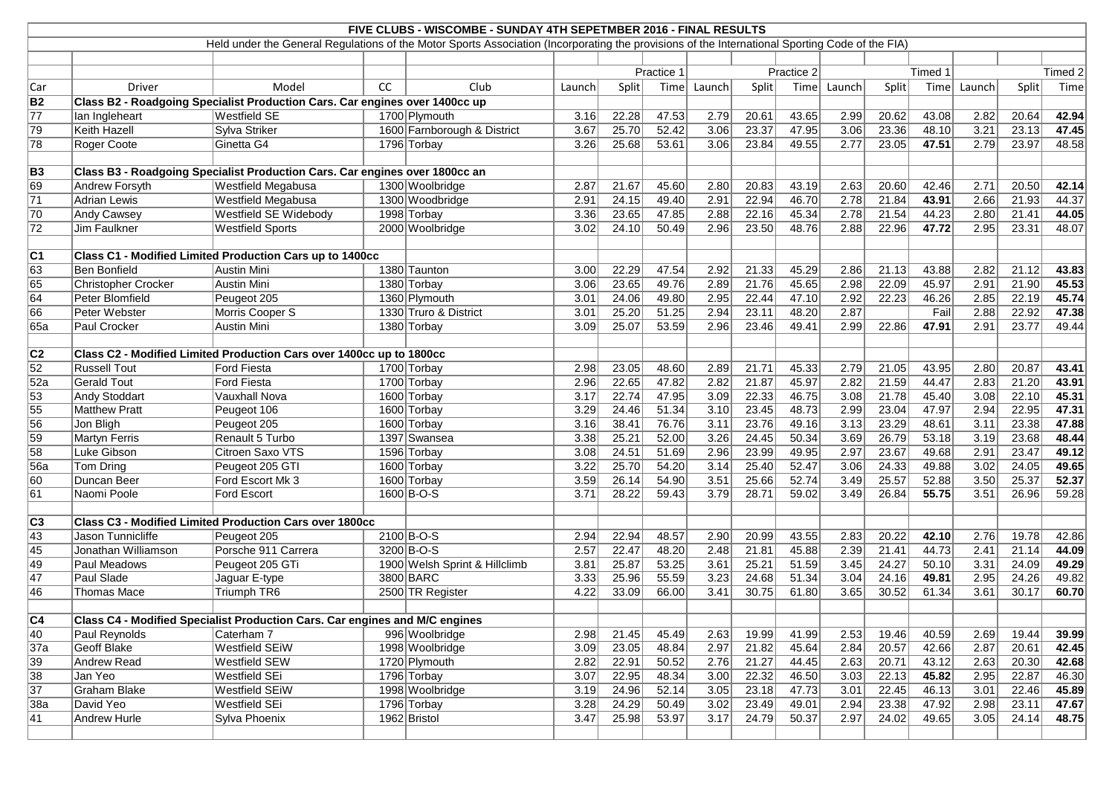|                                                                                                                                                 | FIVE CLUBS - WISCOMBE - SUNDAY 4TH SEPETMBER 2016 - FINAL RESULTS           |                                                                             |    |                               |            |       |       |                   |            |       |        |         |         |        |              |       |
|-------------------------------------------------------------------------------------------------------------------------------------------------|-----------------------------------------------------------------------------|-----------------------------------------------------------------------------|----|-------------------------------|------------|-------|-------|-------------------|------------|-------|--------|---------|---------|--------|--------------|-------|
| Held under the General Regulations of the Motor Sports Association (Incorporating the provisions of the International Sporting Code of the FIA) |                                                                             |                                                                             |    |                               |            |       |       |                   |            |       |        |         |         |        |              |       |
|                                                                                                                                                 |                                                                             |                                                                             |    |                               |            |       |       |                   |            |       |        |         |         |        |              |       |
|                                                                                                                                                 |                                                                             |                                                                             |    |                               | Practice 1 |       |       |                   | Practice 2 |       |        | Timed 1 | Timed 2 |        |              |       |
| Car                                                                                                                                             | Driver                                                                      | Model                                                                       | CC | Club                          | Launch     | Split | Time  | Launch            | Split      | Time  | Launch | Split   | Time    | Launch | <b>Split</b> | Time  |
| <b>B2</b>                                                                                                                                       | Class B2 - Roadgoing Specialist Production Cars. Car engines over 1400cc up |                                                                             |    |                               |            |       |       |                   |            |       |        |         |         |        |              |       |
| $\overline{77}$                                                                                                                                 | lan Ingleheart                                                              | Westfield SE                                                                |    | 1700 Plymouth                 | 3.16       | 22.28 | 47.53 | 2.79              | 20.61      | 43.65 | 2.99   | 20.62   | 43.08   | 2.82   | 20.64        | 42.94 |
| 79                                                                                                                                              | Keith Hazell                                                                | Sylva Striker                                                               |    | 1600 Farnborough & District   | 3.67       | 25.70 | 52.42 | 3.06              | 23.37      | 47.95 | 3.06   | 23.36   | 48.10   | 3.21   | 23.13        | 47.45 |
| 78                                                                                                                                              | Roger Coote                                                                 | Ginetta G4                                                                  |    | 1796 Torbay                   | 3.26       | 25.68 | 53.61 | 3.06              | 23.84      | 49.55 | 2.77   | 23.05   | 47.51   | 2.79   | 23.97        | 48.58 |
|                                                                                                                                                 |                                                                             |                                                                             |    |                               |            |       |       |                   |            |       |        |         |         |        |              |       |
| <b>B3</b>                                                                                                                                       |                                                                             | Class B3 - Roadgoing Specialist Production Cars. Car engines over 1800cc an |    |                               |            |       |       |                   |            |       |        |         |         |        |              |       |
| 69                                                                                                                                              | <b>Andrew Forsyth</b>                                                       | Westfield Megabusa                                                          |    | 1300 Woolbridge               | 2.87       | 21.67 | 45.60 | 2.80              | 20.83      | 43.19 | 2.63   | 20.60   | 42.46   | 2.71   | 20.50        | 42.14 |
| 71                                                                                                                                              | Adrian Lewis                                                                | <b>Westfield Megabusa</b>                                                   |    | 1300 Woodbridge               | 2.91       | 24.15 | 49.40 | 2.91              | 22.94      | 46.70 | 2.78   | 21.84   | 43.91   | 2.66   | 21.93        | 44.37 |
| 70                                                                                                                                              | Andy Cawsey                                                                 | <b>Westfield SE Widebody</b>                                                |    | 1998 Torbay                   | 3.36       | 23.65 | 47.85 | 2.88              | 22.16      | 45.34 | 2.78   | 21.54   | 44.23   | 2.80   | 21.41        | 44.05 |
| $\overline{72}$                                                                                                                                 | Jim Faulkner                                                                | <b>Westfield Sports</b>                                                     |    | 2000 Woolbridge               | 3.02       | 24.10 | 50.49 | 2.96              | 23.50      | 48.76 | 2.88   | 22.96   | 47.72   | 2.95   | 23.31        | 48.07 |
|                                                                                                                                                 |                                                                             |                                                                             |    |                               |            |       |       |                   |            |       |        |         |         |        |              |       |
| C1                                                                                                                                              |                                                                             | Class C1 - Modified Limited Production Cars up to 1400cc                    |    |                               |            |       |       |                   |            |       |        |         |         |        |              |       |
| 63                                                                                                                                              | <b>Ben Bonfield</b>                                                         | Austin Mini                                                                 |    | 1380 Taunton                  | 3.00       | 22.29 | 47.54 | 2.92              | 21.33      | 45.29 | 2.86   | 21.13   | 43.88   | 2.82   | 21.12        | 43.83 |
| 65                                                                                                                                              | Christopher Crocker                                                         | Austin Mini                                                                 |    | 1380 Torbay                   | 3.06       | 23.65 | 49.76 | 2.89              | 21.76      | 45.65 | 2.98   | 22.09   | 45.97   | 2.91   | 21.90        | 45.53 |
| 64                                                                                                                                              | Peter Blomfield                                                             | Peugeot 205                                                                 |    | 1360 Plymouth                 | 3.01       | 24.06 | 49.80 | 2.95              | 22.44      | 47.10 | 2.92   | 22.23   | 46.26   | 2.85   | 22.19        | 45.74 |
| 66                                                                                                                                              | Peter Webster                                                               | Morris Cooper S                                                             |    | 1330 Truro & District         | 3.01       | 25.20 | 51.25 | 2.94              | 23.11      | 48.20 | 2.87   |         | Fail    | 2.88   | 22.92        | 47.38 |
| 65a                                                                                                                                             | Paul Crocker                                                                | Austin Mini                                                                 |    | 1380 Torbay                   | 3.09       | 25.07 | 53.59 | 2.96              | 23.46      | 49.41 | 2.99   | 22.86   | 47.91   | 2.91   | 23.77        | 49.44 |
|                                                                                                                                                 |                                                                             |                                                                             |    |                               |            |       |       |                   |            |       |        |         |         |        |              |       |
| C <sub>2</sub>                                                                                                                                  |                                                                             | Class C2 - Modified Limited Production Cars over 1400cc up to 1800cc        |    |                               |            |       |       |                   |            |       |        |         |         |        |              |       |
| $\overline{52}$                                                                                                                                 | <b>Russell Tout</b>                                                         | Ford Fiesta                                                                 |    | 1700 Torbay                   | 2.98       | 23.05 | 48.60 | 2.89              | 21.71      | 45.33 | 2.79   | 21.05   | 43.95   | 2.80   | 20.87        | 43.41 |
| 52a                                                                                                                                             | Gerald Tout                                                                 | Ford Fiesta                                                                 |    | 1700 Torbay                   | 2.96       | 22.65 | 47.82 | 2.82              | 21.87      | 45.97 | 2.82   | 21.59   | 44.47   | 2.83   | 21.20        | 43.91 |
| $\overline{53}$                                                                                                                                 | <b>Andy Stoddart</b>                                                        | Vauxhall Nova                                                               |    | 1600 Torbay                   | 3.17       | 22.74 | 47.95 | 3.09              | 22.33      | 46.75 | 3.08   | 21.78   | 45.40   | 3.08   | 22.10        | 45.31 |
| $\overline{55}$                                                                                                                                 | <b>Matthew Pratt</b>                                                        | Peugeot 106                                                                 |    | 1600 Torbay                   | 3.29       | 24.46 | 51.34 | 3.10              | 23.45      | 48.73 | 2.99   | 23.04   | 47.97   | 2.94   | 22.95        | 47.31 |
| 56                                                                                                                                              | Jon Bligh                                                                   | Peugeot 205                                                                 |    | 1600 Torbay                   | 3.16       | 38.41 | 76.76 | 3.11              | 23.76      | 49.16 | 3.13   | 23.29   | 48.61   | 3.11   | 23.38        | 47.88 |
| 59                                                                                                                                              | Martyn Ferris                                                               | Renault 5 Turbo                                                             |    | 1397 Swansea                  | 3.38       | 25.21 | 52.00 | $\overline{3.26}$ | 24.45      | 50.34 | 3.69   | 26.79   | 53.18   | 3.19   | 23.68        | 48.44 |
| $\overline{58}$                                                                                                                                 | Luke Gibson                                                                 | Citroen Saxo VTS                                                            |    | 1596 Torbay                   | 3.08       | 24.51 | 51.69 | 2.96              | 23.99      | 49.95 | 2.97   | 23.67   | 49.68   | 2.91   | 23.47        | 49.12 |
| <b>56a</b>                                                                                                                                      | <b>Tom Dring</b>                                                            | Peugeot 205 GTI                                                             |    | 1600 Torbay                   | 3.22       | 25.70 | 54.20 | 3.14              | 25.40      | 52.47 | 3.06   | 24.33   | 49.88   | 3.02   | 24.05        | 49.65 |
| 60                                                                                                                                              | Duncan Beer                                                                 | Ford Escort Mk 3                                                            |    | 1600 Torbay                   | 3.59       | 26.14 | 54.90 | $\overline{3.51}$ | 25.66      | 52.74 | 3.49   | 25.57   | 52.88   | 3.50   | 25.37        | 52.37 |
| 61                                                                                                                                              | Naomi Poole                                                                 | Ford Escort                                                                 |    | 1600 B-O-S                    | 3.71       | 28.22 | 59.43 | 3.79              | 28.71      | 59.02 | 3.49   | 26.84   | 55.75   | 3.51   | 26.96        | 59.28 |
|                                                                                                                                                 |                                                                             |                                                                             |    |                               |            |       |       |                   |            |       |        |         |         |        |              |       |
| C3                                                                                                                                              |                                                                             | <b>Class C3 - Modified Limited Production Cars over 1800cc</b>              |    |                               |            |       |       |                   |            |       |        |         |         |        |              |       |
| 43                                                                                                                                              | Jason Tunnicliffe                                                           | Peugeot 205                                                                 |    | $2100 B-O-S$                  | 2.94       | 22.94 | 48.57 | 2.90              | 20.99      | 43.55 | 2.83   | 20.22   | 42.10   | 2.76   | 19.78        | 42.86 |
| 45                                                                                                                                              | Jonathan Williamson                                                         | Porsche 911 Carrera                                                         |    | $3200 B-O-S$                  | 2.57       | 22.47 | 48.20 | 2.48              | 21.81      | 45.88 | 2.39   | 21.41   | 44.73   | 2.41   | 21.14        | 44.09 |
| 49                                                                                                                                              | Paul Meadows                                                                | Peugeot 205 GTi                                                             |    | 1900 Welsh Sprint & Hillclimb | 3.81       | 25.87 | 53.25 | $\overline{3.61}$ | 25.21      | 51.59 | 3.45   | 24.27   | 50.10   | 3.31   | 24.09        | 49.29 |
| 47                                                                                                                                              | Paul Slade                                                                  | Jaguar E-type                                                               |    | 3800 BARC                     | 3.33       | 25.96 | 55.59 | 3.23              | 24.68      | 51.34 | 3.04   | 24.16   | 49.81   | 2.95   | 24.26        | 49.82 |
| 46                                                                                                                                              | <b>Thomas Mace</b>                                                          | Triumph TR6                                                                 |    | 2500 TR Register              | 4.22       | 33.09 | 66.00 | 3.41              | 30.75      | 61.80 | 3.65   | 30.52   | 61.34   | 3.61   | 30.17        | 60.70 |
|                                                                                                                                                 |                                                                             |                                                                             |    |                               |            |       |       |                   |            |       |        |         |         |        |              |       |
| <sub>C4</sub>                                                                                                                                   |                                                                             | Class C4 - Modified Specialist Production Cars. Car engines and M/C engines |    |                               |            |       |       |                   |            |       |        |         |         |        |              |       |
| 40                                                                                                                                              | Paul Reynolds                                                               | Caterham 7                                                                  |    | 996 Woolbridge                | 2.98       | 21.45 | 45.49 | 2.63              | 19.99      | 41.99 | 2.53   | 19.46   | 40.59   | 2.69   | 19.44        | 39.99 |
| 37a                                                                                                                                             | Geoff Blake                                                                 | <b>Westfield SEiW</b>                                                       |    | 1998 Woolbridge               | 3.09       | 23.05 | 48.84 | 2.97              | 21.82      | 45.64 | 2.84   | 20.57   | 42.66   | 2.87   | 20.61        | 42.45 |
| 39                                                                                                                                              | Andrew Read                                                                 | Westfield SEW                                                               |    | 1720 Plymouth                 | 2.82       | 22.91 | 50.52 | 2.76              | 21.27      | 44.45 | 2.63   | 20.71   | 43.12   | 2.63   | 20.30        | 42.68 |
| 38                                                                                                                                              | Jan Yeo                                                                     | Westfield SEi                                                               |    | 1796 Torbay                   | 3.07       | 22.95 | 48.34 | 3.00              | 22.32      | 46.50 | 3.03   | 22.13   | 45.82   | 2.95   | 22.87        | 46.30 |
| $\overline{37}$                                                                                                                                 | Graham Blake                                                                | <b>Westfield SEiW</b>                                                       |    | 1998 Woolbridge               | 3.19       | 24.96 | 52.14 | 3.05              | 23.18      | 47.73 | 3.01   | 22.45   | 46.13   | 3.01   | 22.46        | 45.89 |
| 38a                                                                                                                                             | David Yeo                                                                   | Westfield SEi                                                               |    | 1796 Torbay                   | 3.28       | 24.29 | 50.49 | 3.02              | 23.49      | 49.01 | 2.94   | 23.38   | 47.92   | 2.98   | 23.11        | 47.67 |
| 41                                                                                                                                              | <b>Andrew Hurle</b>                                                         | Sylva Phoenix                                                               |    | 1962 Bristol                  | 3.47       | 25.98 | 53.97 | 3.17              | 24.79      | 50.37 | 2.97   | 24.02   | 49.65   | 3.05   | 24.14        | 48.75 |
|                                                                                                                                                 |                                                                             |                                                                             |    |                               |            |       |       |                   |            |       |        |         |         |        |              |       |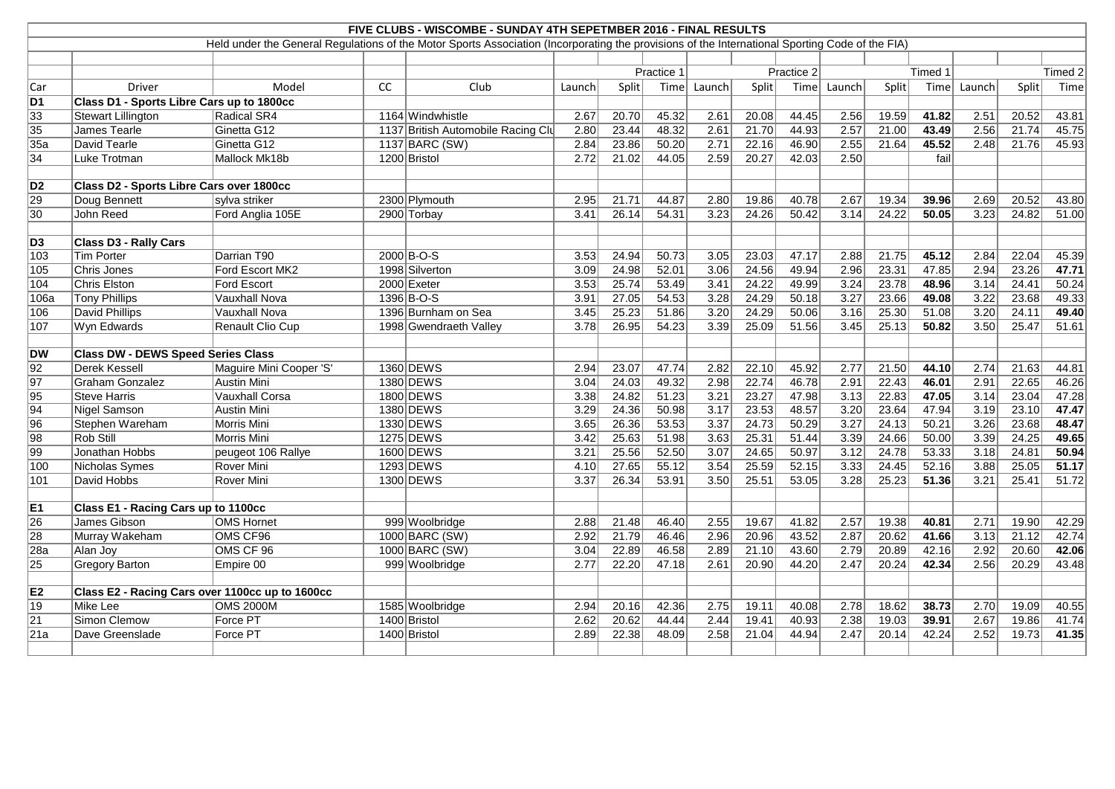|                 | FIVE CLUBS - WISCOMBE - SUNDAY 4TH SEPETMBER 2016 - FINAL RESULTS |                                                                                                                                                 |    |                                    |        |       |            |                |       |                |        |              |         |        |         |       |  |
|-----------------|-------------------------------------------------------------------|-------------------------------------------------------------------------------------------------------------------------------------------------|----|------------------------------------|--------|-------|------------|----------------|-------|----------------|--------|--------------|---------|--------|---------|-------|--|
|                 |                                                                   | Held under the General Regulations of the Motor Sports Association (Incorporating the provisions of the International Sporting Code of the FIA) |    |                                    |        |       |            |                |       |                |        |              |         |        |         |       |  |
|                 |                                                                   |                                                                                                                                                 |    |                                    |        |       |            |                |       |                |        |              |         |        |         |       |  |
|                 |                                                                   |                                                                                                                                                 |    |                                    |        |       | Practice 1 |                |       | Practice 2     |        |              | Timed 1 |        | Timed 2 |       |  |
| Car             | Driver                                                            | Model                                                                                                                                           | cc | Club                               | Launch | Split | Time       | Launch         | Split | Time           | Launch | Split        | Time    | Launch | Split   | Time  |  |
| D1              | Class D1 - Sports Libre Cars up to 1800cc                         |                                                                                                                                                 |    |                                    |        |       |            |                |       |                |        |              |         |        |         |       |  |
| 33              | <b>Stewart Lillington</b>                                         | Radical SR4                                                                                                                                     |    | 1164 Windwhistle                   | 2.67   | 20.70 | 45.32      | 2.61           | 20.08 | 44.45          | 2.56   | 19.59        | 41.82   | 2.51   | 20.52   | 43.81 |  |
| 35              | James Tearle                                                      | Ginetta G12                                                                                                                                     |    | 1137 British Automobile Racing Clu | 2.80   | 23.44 | 48.32      | 2.61           | 21.70 | 44.93          | 2.57   | 21.00        | 43.49   | 2.56   | 21.74   | 45.75 |  |
| 35a             | David Tearle                                                      | Ginetta G12                                                                                                                                     |    | 1137 BARC (SW)                     | 2.84   | 23.86 | 50.20      | 2.71           | 22.16 | 46.90          | 2.55   | 21.64        | 45.52   | 2.48   | 21.76   | 45.93 |  |
| 34              | Luke Trotman                                                      | Mallock Mk18b                                                                                                                                   |    | 1200 Bristol                       | 2.72   | 21.02 | 44.05      | 2.59           | 20.27 | 42.03          | 2.50   |              | fail    |        |         |       |  |
|                 |                                                                   |                                                                                                                                                 |    |                                    |        |       |            |                |       |                |        |              |         |        |         |       |  |
| D <sub>2</sub>  | Class D2 - Sports Libre Cars over 1800cc                          |                                                                                                                                                 |    |                                    |        |       |            |                |       |                |        |              |         |        |         |       |  |
| 29              | Doug Bennett                                                      | sylva striker                                                                                                                                   |    | 2300 Plymouth                      | 2.95   | 21.71 | 44.87      | 2.80           | 19.86 | 40.78          | 2.67   | 19.34        | 39.96   | 2.69   | 20.52   | 43.80 |  |
| 30              | John Reed                                                         | Ford Anglia 105E                                                                                                                                |    | 2900 Torbay                        | 3.41   | 26.14 | 54.31      | 3.23           | 24.26 | 50.42          | 3.14   | 24.22        | 50.05   | 3.23   | 24.82   | 51.00 |  |
|                 |                                                                   |                                                                                                                                                 |    |                                    |        |       |            |                |       |                |        |              |         |        |         |       |  |
| D <sub>3</sub>  | <b>Class D3 - Rally Cars</b>                                      |                                                                                                                                                 |    |                                    |        |       |            |                |       |                |        |              |         |        |         |       |  |
| 103             | <b>Tim Porter</b>                                                 | Darrian T90                                                                                                                                     |    | $2000 B-O-S$                       | 3.53   | 24.94 | 50.73      | 3.05           | 23.03 | 47.17          | 2.88   | 21.75        | 45.12   | 2.84   | 22.04   | 45.39 |  |
| 105             | Chris Jones                                                       | Ford Escort MK2                                                                                                                                 |    | 1998 Silverton                     | 3.09   | 24.98 | 52.01      | 3.06           | 24.56 | 49.94          | 2.96   | 23.31        | 47.85   | 2.94   | 23.26   | 47.71 |  |
| 104             | Chris Elston                                                      | Ford Escort                                                                                                                                     |    | 2000 Exeter                        | 3.53   | 25.74 | 53.49      | 3.41           | 24.22 | 49.99          | 3.24   | 23.78        | 48.96   | 3.14   | 24.41   | 50.24 |  |
| 106a            | <b>Tony Phillips</b>                                              | Vauxhall Nova                                                                                                                                   |    | 1396 B-O-S                         | 3.91   | 27.05 | 54.53      | 3.28           | 24.29 | 50.18          | 3.27   | 23.66        | 49.08   | 3.22   | 23.68   | 49.33 |  |
| 106             | <b>David Phillips</b>                                             | Vauxhall Nova                                                                                                                                   |    | 1396 Burnham on Sea                | 3.45   | 25.23 | 51.86      | 3.20           | 24.29 | 50.06          | 3.16   | 25.30        | 51.08   | 3.20   | 24.11   | 49.40 |  |
| 107             | Wyn Edwards                                                       | Renault Clio Cup                                                                                                                                |    | 1998 Gwendraeth Valley             | 3.78   | 26.95 | 54.23      | 3.39           | 25.09 | 51.56          | 3.45   | 25.13        | 50.82   | 3.50   | 25.47   | 51.61 |  |
|                 |                                                                   |                                                                                                                                                 |    |                                    |        |       |            |                |       |                |        |              |         |        |         |       |  |
| <b>DW</b>       | <b>Class DW - DEWS Speed Series Class</b>                         |                                                                                                                                                 |    |                                    |        |       |            |                |       |                |        |              |         |        |         |       |  |
| 92              | <b>Derek Kessell</b>                                              | Maguire Mini Cooper 'S'                                                                                                                         |    | 1360 DEWS                          | 2.94   | 23.07 | 47.74      | 2.82           | 22.10 | 45.92          | 2.77   | 21.50        | 44.10   | 2.74   | 21.63   | 44.81 |  |
| 97              | <b>Graham Gonzalez</b>                                            | Austin Mini                                                                                                                                     |    | 1380 DEWS                          | 3.04   | 24.03 | 49.32      | 2.98           | 22.74 | 46.78          | 2.91   | 22.43        | 46.01   | 2.91   | 22.65   | 46.26 |  |
| 95              | <b>Steve Harris</b>                                               | Vauxhall Corsa                                                                                                                                  |    | 1800 DEWS                          | 3.38   | 24.82 | 51.23      | 3.21           | 23.27 | 47.98          | 3.13   | 22.83        | 47.05   | 3.14   | 23.04   | 47.28 |  |
| 94              | Nigel Samson                                                      | <b>Austin Mini</b>                                                                                                                              |    | 1380 DEWS                          | 3.29   | 24.36 | 50.98      | 3.17           | 23.53 | 48.57          | 3.20   | 23.64        | 47.94   | 3.19   | 23.10   | 47.47 |  |
| 96              | Stephen Wareham                                                   | Morris Mini                                                                                                                                     |    | 1330 DEWS                          | 3.65   | 26.36 | 53.53      | 3.37           | 24.73 | 50.29          | 3.27   | 24.13        | 50.21   | 3.26   | 23.68   | 48.47 |  |
| 98              | Rob Still                                                         | Morris Mini                                                                                                                                     |    | 1275 DEWS                          | 3.42   | 25.63 | 51.98      | 3.63           | 25.31 | 51.44          | 3.39   | 24.66        | 50.00   | 3.39   | 24.25   | 49.65 |  |
| 99              | Jonathan Hobbs                                                    | peugeot 106 Rallye                                                                                                                              |    | 1600 DEWS                          | 3.21   | 25.56 | 52.50      | 3.07           | 24.65 | 50.97          | 3.12   | 24.78        | 53.33   | 3.18   | 24.81   | 50.94 |  |
| 100             | Nicholas Symes                                                    | Rover Mini                                                                                                                                      |    | 1293 DEWS                          | 4.10   | 27.65 | 55.12      | 3.54           | 25.59 | 52.15          | 3.33   | 24.45        | 52.16   | 3.88   | 25.05   | 51.17 |  |
| 101             | David Hobbs                                                       | Rover Mini                                                                                                                                      |    | 1300 DEWS                          | 3.37   | 26.34 | 53.91      | 3.50           | 25.51 | 53.05          | 3.28   | 25.23        | 51.36   | 3.21   | 25.41   | 51.72 |  |
|                 |                                                                   |                                                                                                                                                 |    |                                    |        |       |            |                |       |                |        |              |         |        |         |       |  |
| E1              | <b>Class E1 - Racing Cars up to 1100cc</b>                        |                                                                                                                                                 |    |                                    |        |       |            |                |       |                |        |              |         |        |         |       |  |
| $\overline{26}$ | James Gibson                                                      | OMS Hornet                                                                                                                                      |    | 999 Woolbridge                     | 2.88   | 21.48 | 46.40      | $\boxed{2.55}$ |       | $19.67$ 41.82  |        | $2.57$ 19.38 | 40.81   | 2.71   | 19.90   | 42.29 |  |
| 28              | Murray Wakeham                                                    | OMS CF96                                                                                                                                        |    | 1000 BARC (SW)                     | 2.92   | 21.79 | 46.46      | 2.96           | 20.96 | 43.52          | 2.87   | 20.62        | 41.66   | 3.13   | 21.12   | 42.74 |  |
| 28a             | Alan Joy                                                          | OMS CF 96                                                                                                                                       |    | 1000 BARC (SW)                     | 3.04   | 22.89 | 46.58      | 2.89           | 21.10 | 43.60          | 2.79   | 20.89        | 42.16   | 2.92   | 20.60   | 42.06 |  |
| 25              | <b>Gregory Barton</b>                                             | Empire 00                                                                                                                                       |    | 999 Woolbridge                     | 2.77   | 22.20 | 47.18      | 2.61           | 20.90 | 44.20          | 2.47   | 20.24        | 42.34   | 2.56   | 20.29   | 43.48 |  |
|                 |                                                                   |                                                                                                                                                 |    |                                    |        |       |            |                |       |                |        |              |         |        |         |       |  |
| E <sub>2</sub>  | Class E2 - Racing Cars over 1100cc up to 1600cc                   | <b>OMS 2000M</b>                                                                                                                                |    |                                    |        |       |            |                |       |                |        |              |         |        |         |       |  |
| 19              | Mike Lee<br>Simon Clemow                                          |                                                                                                                                                 |    | 1585 Woolbridge                    | 2.94   | 20.16 | 42.36      | 2.75           | 19.11 | 40.08          | 2.78   | 18.62        | 38.73   | 2.70   | 19.09   | 40.55 |  |
| 21              |                                                                   | Force PT                                                                                                                                        |    | 1400 Bristol                       | 2.62   | 20.62 | 44.44      | 2.44           | 19.41 | 40.93<br>44.94 | 2.38   | 19.03        | 39.91   | 2.67   | 19.86   | 41.74 |  |
| 21a             | Dave Greenslade                                                   | Force PT                                                                                                                                        |    | 1400 Bristol                       | 2.89   | 22.38 | 48.09      | 2.58           | 21.04 |                | 2.47   | 20.14        | 42.24   | 2.52   | 19.73   | 41.35 |  |
|                 |                                                                   |                                                                                                                                                 |    |                                    |        |       |            |                |       |                |        |              |         |        |         |       |  |